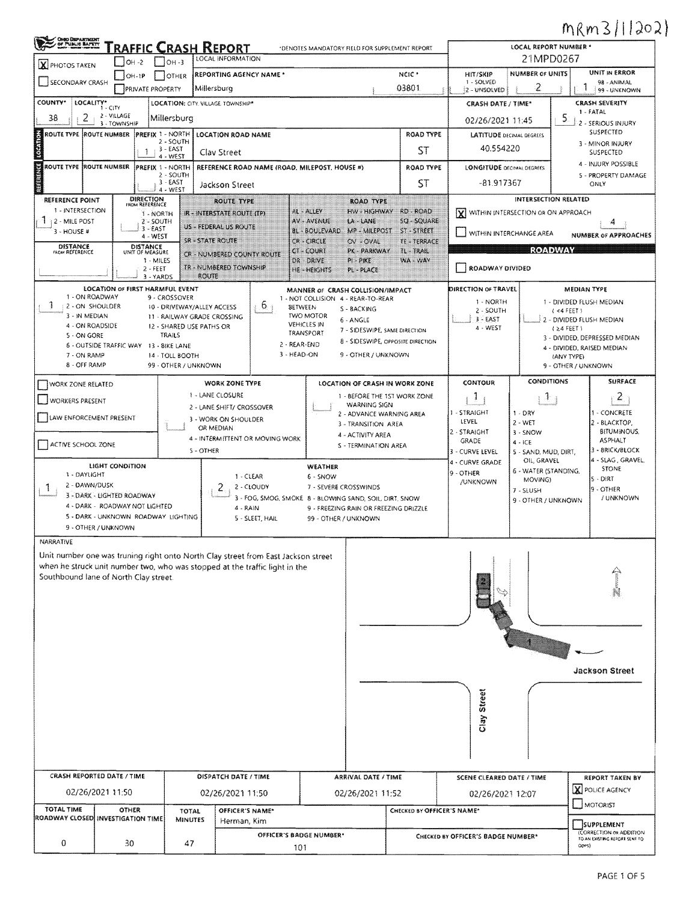## MRm3/1/202)

| OHOO DEPARTMENT<br>/ OF PUBLIC BAPETY<br>/ white result contains | RAFFIC CRASH REPORT                                                   |                                                           | LOCAL REPORT NUMBER *                                                             |                                                                       |                                   |                                    |                                                        |                                                                            |                                                                        |  |  |  |
|------------------------------------------------------------------|-----------------------------------------------------------------------|-----------------------------------------------------------|-----------------------------------------------------------------------------------|-----------------------------------------------------------------------|-----------------------------------|------------------------------------|--------------------------------------------------------|----------------------------------------------------------------------------|------------------------------------------------------------------------|--|--|--|
| <b>X</b> PHOTOS TAKEN                                            | $OH -2$                                                               | LOCAL INFORMATION<br>$OH - 3$                             | 21MPD0267                                                                         |                                                                       |                                   |                                    |                                                        |                                                                            |                                                                        |  |  |  |
| SECONDARY CRASH                                                  | $[OH-1P]$                                                             | <b>OTHER</b>                                              | REPORTING AGENCY NAME *                                                           |                                                                       | NCIC <sup>*</sup>                 | HIT/SKIP<br>1 - SOLVED             | <b>NUMBER OF UNITS</b>                                 |                                                                            | UNIT IN ERROR<br>98 - ANIMAL                                           |  |  |  |
|                                                                  | <b>PRIVATE PROPERTY</b>                                               |                                                           | Millersburg                                                                       |                                                                       | 03801                             | 2 - UNSOLVED                       | 2                                                      |                                                                            | 99 - UNKNOWN                                                           |  |  |  |
| COUNTY*<br>LOCALITY*                                             | 1 - CITY                                                              | LOCATION: CITY. VILLAGE. TOWNSHIP*                        |                                                                                   |                                                                       |                                   | <b>CRASH DATE / TIME*</b>          |                                                        | <b>CRASH SEVERITY</b><br>1 - FATAL                                         |                                                                        |  |  |  |
| 2<br>38                                                          | 2 - VILLAGE<br>3 - TOWNSHIP                                           | Millersburg                                               |                                                                                   | 02/26/2021 11:45                                                      | 2 - SERIOUS INJURY                |                                    |                                                        |                                                                            |                                                                        |  |  |  |
| ROUTE TYPE ROUTE NUMBER                                          | PREFIX 1 - NORTH                                                      | 2 - SOUTH                                                 | LOCATION ROAD NAME                                                                |                                                                       | ROAD TYPE                         | <b>LATITUDE DECIMAL DEGREES</b>    |                                                        |                                                                            | SUSPECTED                                                              |  |  |  |
| <b>Compa</b>                                                     | -1                                                                    | $3 - EAST$<br>4 - WEST                                    | Clav Street                                                                       |                                                                       | <b>ST</b>                         | 40.554220                          |                                                        | 3 - MINOR INJURY<br>SUSPECTED                                              |                                                                        |  |  |  |
| ROUTE TYPE (ROUTE NUMBER                                         | PREFIX 1 - NORTH                                                      |                                                           | REFERENCE ROAD NAME (ROAD, MILEPOST, HOUSE #)                                     |                                                                       | <b>ROAD TYPE</b>                  | <b>LONGITUDE DECIMAL DEGREES</b>   |                                                        |                                                                            | 4 - INJURY POSSIBLE                                                    |  |  |  |
| <b>THERE</b>                                                     |                                                                       | 2 - SOUTH<br>$3 - EAST$                                   | Jackson Street                                                                    |                                                                       | <b>ST</b>                         | -81.917367                         |                                                        |                                                                            | 5 - PROPERTY DAMAGE<br>ONLY                                            |  |  |  |
| <b>REFERENCE POINT</b>                                           | <b>DIRECTION</b><br>FROM REFERENCE                                    | 4 - WEST                                                  | <b>ROUTE TYPE</b>                                                                 | <b>ROAD TYPE</b>                                                      |                                   |                                    | <b>INTERSECTION RELATED</b>                            |                                                                            |                                                                        |  |  |  |
| 1 - INTERSECTION                                                 | 1-NORTH                                                               |                                                           | IR - INTERSTATE ROUTE (TP)                                                        | AL - ALLEY<br>HW - HIGHWAY                                            | RD - ROAD                         |                                    | $\left[\chi\right]$ within intersection or ON APPROACH |                                                                            |                                                                        |  |  |  |
| Л.<br>42 - MILE POST<br>3 - HOUSE #                              | $2 - SOLTH$<br>$3 - EAST$                                             |                                                           | US - FEDERAL US ROUTE                                                             | <b>AV - AVENUE</b><br>LA-LANE<br><b>BL-BOULEVARD</b><br>MP - MILEPOST | <b>SO - SOUARE</b><br>ST - STREET |                                    | 4                                                      |                                                                            |                                                                        |  |  |  |
| <b>DISTANCE</b>                                                  | 4 - WEST<br><b>DISTANCE</b>                                           | <b>SR - STATE ROUTE</b>                                   |                                                                                   | CR-CIRCLE<br>OV - OVAL                                                | TE - TERRACE                      | WITHIN INTERCHANGE AREA            | <b>NUMBER OF APPROACHES</b>                            |                                                                            |                                                                        |  |  |  |
| <b>FROM REFERENCE</b>                                            | UNIT OF MEASURE<br>1 - MILES                                          |                                                           | CR - NUMBERED COUNTY ROUTE                                                        | CT-COURT<br>PK - PARKWAY<br>DR - DRIVE<br>$PI - PIKE$                 | <b>IL-TRAIL</b><br>WA - WAY       | <b>ROADWAY</b>                     |                                                        |                                                                            |                                                                        |  |  |  |
|                                                                  | $2 - FEET$<br>3 - YARDS                                               | <b>ROUTE</b>                                              | TR - NUMBERED TOWNSHIP                                                            | HE - HEIGHTS<br>PL-PLACE                                              |                                   | ROADWAY DIVIDED                    |                                                        |                                                                            |                                                                        |  |  |  |
|                                                                  | LOCATION OF FIRST HARMFUL EVENT                                       |                                                           |                                                                                   | MANNER OF CRASH COLLISION/IMPACT                                      |                                   | DIRECTION OF TRAVEL                |                                                        | <b>MEDIAN TYPE</b>                                                         |                                                                        |  |  |  |
| 1 - ON ROADWAY<br>3<br>2 - ON SHOULDER                           |                                                                       | 9 - CROSSOVER                                             | $6 \cdot$                                                                         | 1 - NOT COLLISION 4 - REAR-TO-REAR                                    |                                   | 1 - NORTH                          |                                                        |                                                                            | 1 - DIVIDED FLUSH MEDIAN                                               |  |  |  |
| 3 - IN MEDIAN                                                    |                                                                       | 10 - DRIVEWAY/ALLEY ACCESS<br>11 - RAILWAY GRADE CROSSING | <b>BETWEEN</b>                                                                    | S - BACKING<br><b>TWO MOTOR</b><br>6 - ANGLE                          |                                   | 2 - SOUTH<br>$3 - EAST$            |                                                        | (4 FEE)                                                                    | 2 - DIVIDED FLUSH MEDIAN                                               |  |  |  |
| 4 - ON ROADSIDE<br>5 - ON GORE                                   |                                                                       | 12 - SHARED USE PATHS OR<br><b>TRAILS</b>                 |                                                                                   | <b>VEHICLES IN</b><br>7 - SIDESWIPE, SAME DIRECTION<br>TRANSPORT      |                                   | 4 - WEST                           |                                                        | $(24$ FEET)<br>3 - DIVIDED, DEPRESSED MEDIAN<br>4 - DIVIDED, RAISED MEDIAN |                                                                        |  |  |  |
|                                                                  | 6 - OUTSIDE TRAFFIC WAY 13 - BIKE LANE                                |                                                           | 2 - REAR-END                                                                      | 8 - SIDESWIPE, OPPOSITE DIRECTION                                     |                                   |                                    |                                                        |                                                                            |                                                                        |  |  |  |
| 7 - ON RAMP<br>8 - OFF RAMP                                      |                                                                       | 14 - TOLL BOOTH<br>99 - OTHER / UNKNOWN                   | 3 - HEAD-ON                                                                       | 9 - OTHER / UNKNOWN                                                   |                                   |                                    | (ANY TYPE)                                             | 9 - OTHER / UNKNOWN                                                        |                                                                        |  |  |  |
|                                                                  |                                                                       |                                                           |                                                                                   |                                                                       |                                   | CONTOUR                            | CONDITIONS                                             |                                                                            | <b>SURFACE</b>                                                         |  |  |  |
| WORK ZONE RELATED                                                |                                                                       |                                                           | <b>WORK ZONE TYPE</b><br>1 - LANE CLOSURE                                         | LOCATION OF CRASH IN WORK ZONE<br>1 - BEFORE THE 1ST WORK ZONE        |                                   | 1                                  | 十                                                      |                                                                            | $\mathbf{2}$                                                           |  |  |  |
| <b>WORKERS PRESENT</b>                                           |                                                                       |                                                           | 2 - LANE SHIFT/ CROSSOVER                                                         | WARNING SIGN                                                          |                                   | 1 - STRAIGHT                       | $1 - DRY$                                              |                                                                            | 1 - CONCRETE                                                           |  |  |  |
| LAW ENFORCEMENT PRESENT                                          |                                                                       |                                                           | 3 - WORK ON SHOULDER<br>OR MEDIAN                                                 | 2 - ADVANCE WARNING AREA<br>3 - TRANSITION AREA                       |                                   | LEVEL                              | $2 - WET$                                              |                                                                            | 2 - BLACKTOP,                                                          |  |  |  |
|                                                                  |                                                                       |                                                           | 4 - INTERMITTENT OR MOVING WORK                                                   | 4 - ACTIVITY AREA                                                     |                                   | 2 - STRAIGHT<br>GRADE              | 3 - SNOW<br>$4 - ICE$                                  |                                                                            | <b>BITUMINOUS,</b><br><b>ASPHALT</b>                                   |  |  |  |
| ACTIVE SCHOOL ZONE                                               |                                                                       | 5 - OTHER                                                 |                                                                                   | S - TERMINATION AREA                                                  |                                   | 3 - CURVE LEVEL                    | 5 - SAND, MUD, DIRT,                                   |                                                                            | 3 - BRICK/BLOCK                                                        |  |  |  |
|                                                                  | LIGHT CONDITION                                                       |                                                           |                                                                                   | WEATHER                                                               |                                   | 4 - CURVE GRADE<br>9 - OTHER       | OIL, GRAVEL<br>6 - WATER (STANDING,                    | 4 - SLAG, GRAVEL<br><b>STONE</b>                                           |                                                                        |  |  |  |
| 1 - DAYLIGHT<br>2 - DAWN/DUSK<br>$\mathbf{I}$                    |                                                                       |                                                           | 1 - CLEAR<br>2.<br>2 - CLOUDY                                                     | 6 - SNOW<br>7 - SEVERE CROSSWINDS                                     |                                   | <b>/UNKNOWN</b>                    | MOVING)                                                |                                                                            | $5 - DIRT$<br>19 - OTHER                                               |  |  |  |
|                                                                  | 3 - DARK - LIGHTED ROADWAY                                            |                                                           |                                                                                   | 3 - FOG, SMOG, SMOKE 8 - BLOWING SAND, SOIL, DIRT, SNOW               |                                   |                                    | 7 - SLUSH<br>9 - OTHER / UNKNOWN                       |                                                                            | / UNKNOWN                                                              |  |  |  |
|                                                                  | 4 - DARK - ROADWAY NOT LIGHTED<br>5 - DARK - UNKNOWN ROADWAY LIGHTING |                                                           | 4 - RAIN<br>5 - SLEET, HAIL                                                       | 9 - FREEZING RAIN OR FREEZING DRIZZLE<br>99 - OTHER / UNKNOWN         |                                   |                                    |                                                        |                                                                            |                                                                        |  |  |  |
|                                                                  | 9 - OTHER / UNKNOWN                                                   |                                                           |                                                                                   |                                                                       |                                   |                                    |                                                        |                                                                            |                                                                        |  |  |  |
| NARRATIVE                                                        |                                                                       |                                                           |                                                                                   |                                                                       |                                   |                                    |                                                        |                                                                            |                                                                        |  |  |  |
|                                                                  |                                                                       |                                                           | Unit number one was truning right onto North Clay street from East Jackson street |                                                                       |                                   |                                    |                                                        |                                                                            |                                                                        |  |  |  |
|                                                                  | Southbound lane of North Clay street.                                 |                                                           | when he struck unit number two, who was stopped at the traffic light in the       |                                                                       |                                   |                                    |                                                        |                                                                            |                                                                        |  |  |  |
|                                                                  |                                                                       |                                                           |                                                                                   |                                                                       |                                   |                                    |                                                        |                                                                            |                                                                        |  |  |  |
|                                                                  |                                                                       |                                                           |                                                                                   |                                                                       |                                   |                                    |                                                        |                                                                            |                                                                        |  |  |  |
|                                                                  |                                                                       |                                                           |                                                                                   |                                                                       |                                   |                                    |                                                        |                                                                            |                                                                        |  |  |  |
|                                                                  |                                                                       |                                                           |                                                                                   |                                                                       |                                   |                                    |                                                        |                                                                            |                                                                        |  |  |  |
|                                                                  |                                                                       |                                                           |                                                                                   |                                                                       |                                   |                                    |                                                        |                                                                            |                                                                        |  |  |  |
|                                                                  |                                                                       |                                                           |                                                                                   |                                                                       |                                   |                                    |                                                        |                                                                            | <b>Jackson Street</b>                                                  |  |  |  |
|                                                                  |                                                                       |                                                           |                                                                                   |                                                                       |                                   |                                    |                                                        |                                                                            |                                                                        |  |  |  |
|                                                                  |                                                                       |                                                           |                                                                                   |                                                                       |                                   |                                    |                                                        |                                                                            |                                                                        |  |  |  |
|                                                                  |                                                                       |                                                           |                                                                                   |                                                                       |                                   | Clay Street                        |                                                        |                                                                            |                                                                        |  |  |  |
|                                                                  |                                                                       |                                                           |                                                                                   |                                                                       |                                   |                                    |                                                        |                                                                            |                                                                        |  |  |  |
|                                                                  |                                                                       |                                                           |                                                                                   |                                                                       |                                   |                                    |                                                        |                                                                            |                                                                        |  |  |  |
|                                                                  |                                                                       |                                                           |                                                                                   |                                                                       |                                   |                                    |                                                        |                                                                            |                                                                        |  |  |  |
|                                                                  | CRASH REPORTED DATE / TIME                                            |                                                           | <b>DISPATCH DATE / TIME</b>                                                       | ARRIVAL DATE / TIME                                                   |                                   | SCENE CLEARED DATE / TIME          |                                                        |                                                                            | <b>REPORT TAKEN BY</b>                                                 |  |  |  |
|                                                                  | 02/26/2021 11:50                                                      |                                                           |                                                                                   |                                                                       |                                   |                                    |                                                        |                                                                            | X POLICE AGENCY                                                        |  |  |  |
|                                                                  |                                                                       |                                                           | 02/26/2021 11:50                                                                  | 02/26/2021 11:52                                                      |                                   | 02/26/2021 12:07                   |                                                        |                                                                            | $\Box$ MOTORIST                                                        |  |  |  |
| TOTAL TIME                                                       | <b>OTHER</b><br><b>ROADWAY CLOSED INVESTIGATION TIME</b>              | <b>TOTAL</b><br><b>MINUTES</b>                            | OFFICER'S NAME*<br>Herman, Kim                                                    |                                                                       | CHECKED BY OFFICER'S NAME*        |                                    |                                                        |                                                                            |                                                                        |  |  |  |
|                                                                  |                                                                       |                                                           | OFFICER'S BADGE NUMBER*                                                           |                                                                       |                                   | CHECKED BY OFFICER'S BADGE NUMBER* |                                                        |                                                                            | SUPPLEMENT<br>(CORRECTION OR ADDITION<br>TO AN EXISTING REPORT SENT TO |  |  |  |
| 0                                                                | 30                                                                    | 47                                                        | 101                                                                               |                                                                       |                                   |                                    |                                                        | ODPS)                                                                      |                                                                        |  |  |  |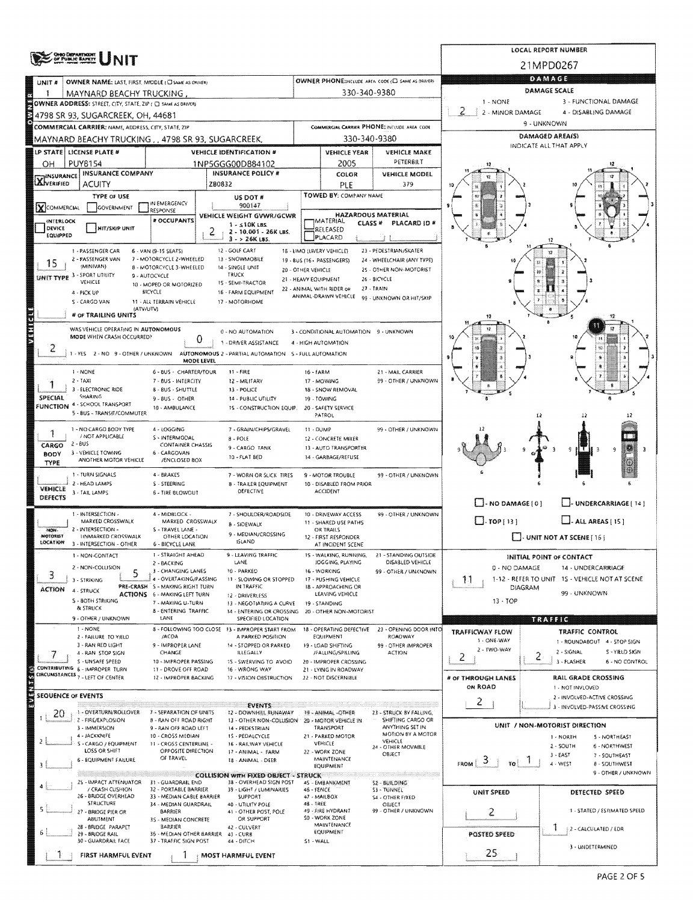|                           | <b>CHBO DISPARTMENT</b>                                                                                        |                                                                        | LOCAL REPORT NUMBER        |                                                                        |                                                   |                                                                   |                                                            |                                                            |                                                |                                      |  |  |  |  |
|---------------------------|----------------------------------------------------------------------------------------------------------------|------------------------------------------------------------------------|----------------------------|------------------------------------------------------------------------|---------------------------------------------------|-------------------------------------------------------------------|------------------------------------------------------------|------------------------------------------------------------|------------------------------------------------|--------------------------------------|--|--|--|--|
|                           | PUMJE BAPETT                                                                                                   |                                                                        |                            | 21MPD0267                                                              |                                                   |                                                                   |                                                            |                                                            |                                                |                                      |  |  |  |  |
| UNIT #                    | OWNER NAME: LAST, FIRST, MIDDLE (C) SAME AS DRIVER!                                                            |                                                                        |                            |                                                                        | OWNER PHONE:INCLUDE AREA CODE (E) SAME AS DRIVERY | <b>DAMAGE</b>                                                     |                                                            |                                                            |                                                |                                      |  |  |  |  |
|                           | MAYNARD BEACHY TRUCKING                                                                                        |                                                                        |                            |                                                                        |                                                   | 330-340-9380                                                      |                                                            | <b>DAMAGE SCALE</b><br>$1 - NONE$<br>3 - FUNCTIONAL DAMAGE |                                                |                                      |  |  |  |  |
|                           | OWNER ADDRESS: STREET, CITY, STATE, ZIP ( C) SAME AS DRIVERY                                                   |                                                                        |                            |                                                                        |                                                   |                                                                   |                                                            | 2 - MINOR DAMAGE                                           | 4 - DISABLING DAMAGE                           |                                      |  |  |  |  |
|                           | 4798 SR 93, SUGARCREEK, OH, 44681<br>COMMERCIAL CARRIER: NAME, ADDRESS, CITY, STATE, ZIP                       |                                                                        |                            |                                                                        |                                                   |                                                                   | COMMISSION CARRIER PHONE: INCLUDE AREA CODE                |                                                            |                                                |                                      |  |  |  |  |
|                           | MAYNARD BEACHY TRUCKING , , 4798 SR 93, SUGARCREEK,                                                            |                                                                        |                            |                                                                        |                                                   | 330-340-9380                                                      |                                                            | DAMAGED AREA(S)                                            |                                                |                                      |  |  |  |  |
|                           | LP STATE LICENSE PLATE #                                                                                       |                                                                        |                            | VEHICLE IDENTIFICATION #                                               |                                                   | <b>VEHICLE YEAR</b>                                               | <b>VEHICLE MAKE</b>                                        |                                                            | INDICATE ALL THAT APPLY                        |                                      |  |  |  |  |
| OН                        | <b>PUY8154</b>                                                                                                 |                                                                        |                            | 1NP5GGG00D884102                                                       |                                                   | 2005                                                              | PETERBILT                                                  |                                                            |                                                |                                      |  |  |  |  |
| <b>X</b> INSURANCE        | <b>INSURANCE COMPANY</b>                                                                                       |                                                                        |                            | <b>INSURANCE POLICY #</b>                                              |                                                   | COLOR                                                             | <b>VEHICLE MODEL</b>                                       |                                                            |                                                |                                      |  |  |  |  |
|                           | <b>ACUITY</b><br>TYPE OF USE                                                                                   |                                                                        | ZB0832                     | US DOT #                                                               |                                                   | PLE<br>TOWED BY: COMPANY NAME                                     | 379                                                        |                                                            |                                                |                                      |  |  |  |  |
| XCOMMERCIAL               | GOVERNMENT                                                                                                     | IN EMERGENCY<br>RESPONSE                                               |                            | 900147                                                                 |                                                   |                                                                   |                                                            |                                                            |                                                |                                      |  |  |  |  |
| <b>INTERLOCK</b>          |                                                                                                                | # OCCUPANTS                                                            |                            | VEHICLE WEIGHT GVWR/GCWR<br>$1 - 510K$ LBS.                            |                                                   | HAZARDOUS MATERIAL<br>MATERIAL<br><b>CLASS#</b>                   | PLACARD ID #                                               |                                                            |                                                |                                      |  |  |  |  |
| DEVICE<br>EQUIPPED        | <b>HIT/SKIP UNIT</b>                                                                                           |                                                                        | 2<br>2 - 10.001 - 26K LBS. |                                                                        |                                                   | RELEASED<br>PLACARD                                               |                                                            |                                                            |                                                |                                      |  |  |  |  |
|                           | 1 - PASSENGER CAR                                                                                              | 6 - VAN (9-15 SEATS)                                                   |                            | $3 - 26K$ LBS.<br>12 - GOLF CART                                       |                                                   | 18 - LIMO (LIVERY VEHICLE)                                        | 23 - PEDESTRIAN/SKATER                                     |                                                            |                                                |                                      |  |  |  |  |
| 15                        | 2 - PASSENGER VAN<br>(MINIVAN)                                                                                 | 7 - MOTORCYCLE 2-WHEELED<br>8 - MOTORCYCLE 3-WHEELED                   |                            | 13 - SNOWMOBILE                                                        |                                                   | 19 - 8US (16+ PASSENGERS)                                         | 24 - WHEELCHAIR (ANY TYPE)                                 |                                                            |                                                |                                      |  |  |  |  |
|                           | UNIT TYPE 3 - SPORT UTILITY                                                                                    | 9 - AUTOCYCLE                                                          |                            | 14 - SINGLE UNIT<br>TRUCK                                              | 20 - OTHER VEHICLE<br>21 - HEAVY EQUIPMENT        |                                                                   | 25 - OTHER NON-MOTORIST<br>26 - BICYCLE                    |                                                            | 链                                              |                                      |  |  |  |  |
|                           | VEHICLE<br>4 - PICK UP                                                                                         | 10 - MOPED OR MOTORIZED<br><b>BICYCLE</b>                              |                            | 1S - SEMI-TRACTOR<br>16 - FARM EQUIPMENT                               |                                                   | 22 - ANIMAL WITH RIDER OF                                         | 27 - TRAIN                                                 |                                                            |                                                |                                      |  |  |  |  |
|                           | S - CARGO VAN<br>(ATV/UTV)                                                                                     | 11 - ALL TERRAIN VEHICLE                                               |                            | 17 - MOTORHOME                                                         |                                                   | ANIMAL-DRAWN VEHICLE                                              | 99 - UNKNOWN OR HIT/SKIP                                   |                                                            |                                                |                                      |  |  |  |  |
|                           | # or TRAILING UNITS                                                                                            |                                                                        |                            |                                                                        |                                                   |                                                                   |                                                            | 12                                                         |                                                | -12                                  |  |  |  |  |
|                           | WAS VEHICLE OPERATING IN AUTONOMOUS<br>MODE WHEN CRASH OCCURRED?                                               |                                                                        |                            | 0 - NO AUTOMATION                                                      |                                                   | 3 - CONDITIONAL AUTOMATION 9 - UNKNOWN                            |                                                            |                                                            |                                                |                                      |  |  |  |  |
| 2                         |                                                                                                                |                                                                        | 0                          | 1 - DRIVER ASSISTANCE                                                  |                                                   | 4 - HIGH AUTOMATION                                               |                                                            |                                                            |                                                |                                      |  |  |  |  |
|                           | 1 - YES 2 - NO 9 - OTHER / UNKNOWN                                                                             |                                                                        | <b>MODE LEVEL</b>          | AUTONOMOUS 2 - PARTIAL AUTOMATION 5 - FULL AUTOMATION                  |                                                   |                                                                   |                                                            |                                                            |                                                |                                      |  |  |  |  |
|                           | 1 - NONE                                                                                                       | 6 - BUS - CHARTER/TOUR                                                 |                            | 11 - FIRE                                                              | 16 - FARM                                         |                                                                   | 21 - MAIL CARRIER                                          |                                                            |                                                |                                      |  |  |  |  |
|                           | $2 - TAXI$<br>3 - ELECTRONIC RIDE                                                                              | 7 - BUS - INTERCITY<br>8 - BUS - SHUTTLE                               |                            | 12 - MILITARY<br>13 - POLICE                                           |                                                   | 17 - MOWING<br>18 - SNOW REMOVAL                                  | 99 - OTHER / UNKNOWN                                       |                                                            |                                                |                                      |  |  |  |  |
| <b>SPECIAL</b>            | SHARING                                                                                                        | 9 - BUS - OTHER                                                        |                            | 14 - PUBLIC UTILITY                                                    |                                                   | 19 - TOWING                                                       |                                                            | в                                                          |                                                |                                      |  |  |  |  |
|                           | FUNCTION 4 - SCHOOL TRANSPORT<br>5 - BUS - TRANSIT/COMMUTER                                                    | 10 - AMBULANCE                                                         |                            | 15 - CONSTRUCTION EQUIP.                                               |                                                   | 20 - SAFETY SERVICE<br>PATROL                                     |                                                            |                                                            | 12                                             |                                      |  |  |  |  |
|                           | 1 - NO CARGO BODY TYPE                                                                                         | 4 - LOGGING                                                            |                            | 7 - GRAIN/CHIPS/GRAVEL                                                 | 11 - DUMP                                         |                                                                   | 99 - OTHER / UNKNOWN                                       |                                                            |                                                |                                      |  |  |  |  |
|                           | / NOT APPLICABLE<br>S - INTERMODAL<br>8 - POLE                                                                 |                                                                        |                            |                                                                        |                                                   | 12 - CONCRETE MIXER                                               |                                                            |                                                            |                                                |                                      |  |  |  |  |
| CARGO<br><b>BODY</b>      | $2 - 8US$<br><b>CONTAINER CHASSIS</b><br>9 - CARGO TANK<br>3 - VEHICLE TOWING<br>6 - CARGOVAN<br>10 - FLAT BED |                                                                        |                            |                                                                        |                                                   | 13 - AUTO TRANSPORTER<br>14 - GARBAGE/REFUSE                      |                                                            |                                                            |                                                | 9                                    |  |  |  |  |
| <b>TYPE</b>               | ANOTHER MOTOR VEHICLE                                                                                          | /ENCLOSED BOX                                                          |                            |                                                                        |                                                   |                                                                   |                                                            |                                                            |                                                |                                      |  |  |  |  |
|                           | 1 - TURN SIGNALS<br>2 - HEAD LAMPS                                                                             | 4 - BRAKES<br>S - STEERING                                             |                            | 7 - WORN OR SLICK TIRES<br><b>8 - TRAILER EQUIPMENT</b>                |                                                   | 9 - MOTOR TROUBLE<br>10 - DISABLED FROM PRIOR                     | 99 - OTHER / UNKNOWN                                       |                                                            |                                                |                                      |  |  |  |  |
| VEHICLE<br><b>DEFECTS</b> | 3 - TAIL LAMPS                                                                                                 | 6 - TIRE BLOWOUT                                                       |                            | DEFECTIVE                                                              |                                                   | ACCIDENT                                                          |                                                            |                                                            |                                                |                                      |  |  |  |  |
|                           | 1 - INTERSECTION -                                                                                             | 4 - MIDBLOCK -                                                         |                            | 7 - SHOULDER/ROADSIDE                                                  |                                                   | 10 - DRIVEWAY ACCESS                                              | 99 - OTHER / UNKNOWN                                       | $\Box$ -NO DAMAGE [ 0 ]                                    |                                                | UNDERCARRIAGE [ 14 ]                 |  |  |  |  |
|                           | MARKED CROSSWALK                                                                                               | MARKED CROSSWALK                                                       |                            | 8 - SIDEWALK                                                           |                                                   | 11 - SHARED USE PATHS                                             |                                                            | $\Box$ -TOP[13]<br>$\Box$ - ALL AREAS $[15]$               |                                                |                                      |  |  |  |  |
| MON.<br>MOTORIST          | 2 - INTERSECTION -<br><b>LINMARKED CROSSWALK</b>                                                               | S - TRAVEL LANE -<br>OTHER LOCATION                                    |                            | 9 - MEDIAN/CROSSING<br>ISLAND                                          |                                                   | OR TRAILS<br>12 - FIRST RESPONDER                                 |                                                            | I J- UNIT NOT AT SCENE [ 16 ]                              |                                                |                                      |  |  |  |  |
| LOCATION                  | 3 - INTERSECTION - OTHER                                                                                       | 6 - BICYCLE LANE<br>1 - STRAIGHT AHEAD                                 |                            | 9 - LEAVING TRAFFIC                                                    |                                                   | AT INCIDENT SCENE<br>15 - WALKING, RUNNING,                       | 21 - STANDING OUTSIDE                                      |                                                            |                                                |                                      |  |  |  |  |
|                           | 1 - NON-CONTACT<br>2 - NON-COLUSION                                                                            | 2 - BACKING                                                            |                            | LANE                                                                   |                                                   | JOGGING, PLAYING                                                  | <b>DISABLED VEHICLE</b>                                    | 0 - NO DAMAGE                                              | INITIAL POINT OF CONTACT<br>14 - UNDERCARRIAGE |                                      |  |  |  |  |
| 3.                        | 5<br>3 - STRIKING                                                                                              | 3 - CHANGING LANES<br>4 - OVERTAKING/PASSING                           |                            | 10 - PARKED<br>11 - SLOWING OR STOPPED                                 |                                                   | 16 - WORKING<br>17 - PUSHING VEHICLE                              | 99 - OTHER / UNKNOWN                                       | 11                                                         | 1-12 - REFER TO UNIT 1S - VEHICLE NOT AT SCENE |                                      |  |  |  |  |
| <b>ACTION</b>             | 4 - STRUCK                                                                                                     | PRE-CRASH 5 - MAKING RIGHT TURN<br><b>ACTIONS</b> 6 - MAKING LEFT TURN |                            | IN TRAFFIC<br>12 - DRIVERLESS                                          |                                                   | 18 - APPROACHING OR<br>DIAGRAM<br>99 - UNKNOWN<br>LEAVING VEHICLE |                                                            |                                                            |                                                |                                      |  |  |  |  |
|                           | S - BOTH STRIKING<br>& STRUCK                                                                                  | 7 - MAKING U-TURN                                                      |                            | 13 - NEGOTIATING A CURVE                                               |                                                   | 19 - STANDING                                                     |                                                            | $13 - TOP$                                                 |                                                |                                      |  |  |  |  |
|                           | 9 - OTHER / UNKNOWN                                                                                            | <b>8 - ENTERING TRAFFIC</b><br>LANE                                    |                            | 14 - ENTERING OR CROSSING<br>SPECIFIED LOCATION                        |                                                   | 20 - OTHER NON-MOTORIST                                           |                                                            |                                                            | <b>MERITA</b>                                  |                                      |  |  |  |  |
|                           | 1 - NONE<br>2 - FAILURE TO YIELD                                                                               | /ACDA                                                                  |                            | 8 - FOLLOWING TOO CLOSE 13 - IMPROPER START FROM<br>A PARKED POSITION  |                                                   | EQUIPMENT                                                         | 18 - OPERATING DEFECTIVE 23 - OPENING DOOR INTO<br>ROADWAY | TRAFFICWAY FLOW                                            | TRAFFIC CONTROL                                |                                      |  |  |  |  |
|                           | 3 - RAN RED LIGHT                                                                                              | 9 - IMPROPER LANE                                                      |                            | 14 - STOPPED OR PARKED                                                 |                                                   | 19 - LOAD SHIFTING                                                | 99 - OTHER IMPROPER                                        | 1 - ONE-WAY<br>2 - TWO-WAY                                 | 1 - ROUNDABOUT 4 - STOP SIGN                   |                                      |  |  |  |  |
|                           | 4 - RAN STOP SIGN<br>S - UNSAFE SPEED                                                                          | CHANGE<br>10 - IMPROPER PASSING                                        |                            | ILLEGALLY<br>15 - SWERVING TO AVOID                                    |                                                   | /FALLING/SPILLING<br>20 - IMPROPER CROSSING                       | <b>ACTION</b>                                              | 2                                                          | 2 - SIGNAL<br>2<br>3 - FLASHER                 | S - YIELD SIGN<br>6 - NO CONTROL     |  |  |  |  |
|                           | CONTRIBUTING 6 - IMPROPER TURN<br>CIRCUMSTANCES 7 - LEFT OF CENTER                                             | 11 - DROVE OFF ROAD<br>12 - IMPROPER BACKING                           |                            | 16 - WRONG WAY<br>17 - VISION OBSTRUCTION                              |                                                   | 21 - LYING IN ROADWAY<br>22 - NOT DISCERNIBLE                     |                                                            | # OF THROUGH LANES                                         |                                                |                                      |  |  |  |  |
|                           |                                                                                                                |                                                                        |                            |                                                                        |                                                   |                                                                   |                                                            | ON ROAD                                                    | RAIL GRADE CROSSING<br>1 - NOT INVLOVED        |                                      |  |  |  |  |
|                           | <b>SEQUENCE OF EVENTS</b>                                                                                      |                                                                        |                            | <b>EVENTS</b>                                                          |                                                   |                                                                   |                                                            | $\overline{2}$                                             | 2 - INVOLVED-ACTIVE CROSSING                   |                                      |  |  |  |  |
| 20.<br>$\mathbf{I}$       | 1 - OVERTURN/ROLLOVER                                                                                          | 7 - SEPARATION OF UNITS                                                |                            | 12 - DOWNHILL RUNAWAY                                                  |                                                   | 19 - ANIMAL -OTHER                                                | 23 - STRUCK 8Y FALLING.                                    |                                                            | 3 - INVOLVED-PASSIVE CROSSING                  |                                      |  |  |  |  |
|                           | 2 - FIRE/EXPLOSION<br>3 - IMMERSION                                                                            | 8 - RAN OFF ROAD RIGHT<br>9 - RAN OFF ROAD LEFT                        |                            | 13 - OTHER NON-COLLISION<br>14 - PEDESTRIAN                            |                                                   | 20 - MOTOR VEHICLE IN<br>TRANSPORT                                | SHIFTING CARGO OR<br>ANYTHING SET IN                       |                                                            | UNIT / NON-MOTORIST DIRECTION                  |                                      |  |  |  |  |
| 2                         | 4 - JACKKNIFE<br>S - CARGO / EQUIPMENT                                                                         | 10 - CROSS MEDIAN<br>11 - CROSS CENTERLINE -                           |                            | 15 - PEDALCYCLE<br>16 - RAILWAY VEHICLE                                |                                                   | 21 - PARKED MOTOR<br>VEHICLE                                      | MOTION BY A MOTOR<br>VEHICLE                               |                                                            | <b>I - NORTH</b>                               | S - NORTHEAST<br>6 - NORTHWEST       |  |  |  |  |
|                           | LOSS OR SHIFT                                                                                                  | OPPOSITE DIRECTION<br>OF TRAVEL                                        |                            | 17 - ANIMAL - FARM                                                     |                                                   | 22 - WORK ZONE<br>MAINTENANCE                                     | 24 - OTHER MOVABLE<br>OBJECT                               |                                                            | 2 - SOUTH<br>$3 - EAST$                        | 7 - SOUTHEAST                        |  |  |  |  |
|                           | 6 - EQUIPMENT FAILURE                                                                                          |                                                                        |                            | 18 - ANIMAL - DEER                                                     |                                                   | EQUIPMENT                                                         |                                                            | $F_{ROM}$ $3$<br>TO !                                      | 4 - WEST                                       | 8 - SOUTHWEST<br>9 - OTHER / UNKNOWN |  |  |  |  |
|                           | 25 - IMPACT ATTENUATOR                                                                                         | 31 - GUARDRAIL END                                                     |                            | <b>COLLISION WITH FIXED OBJECT - STRUCK</b><br>38 - OVERHEAD SIGN POST |                                                   | 45 - EMBANKMENT                                                   | 52 - BUILDING                                              |                                                            |                                                |                                      |  |  |  |  |
|                           | / CRASH CUSHION<br>26 - BRIDGE OVERHEAD                                                                        | 32 - PORTABLE BARRIER<br>33 - MEDIAN CABLE BARRIER                     |                            | 39 - LIGHT / LUMINARIES<br>SUPPORT                                     | 46 - FENCE                                        | 47 - MAILBOX                                                      | S3 - TUNNEL<br>\$4 - OTHER FIXED                           | UNIT SPEED                                                 | DETECTED SPEED                                 |                                      |  |  |  |  |
|                           | STRUCTURE<br>27 - BRIDGE PIER OR                                                                               | 34 - MEDIAN GUARDRAIL<br><b>BARRIER</b>                                |                            | 40 - UTILITY POLE<br>41 - OTHER POST, POLE                             | 48 - TREE                                         | 49 - FIRE HYDRANT                                                 | OBJECT<br>99 - OTHER / UNKNOWN                             | 2                                                          |                                                | 1 - STATED / ESTIMATED SPEED         |  |  |  |  |
|                           | ABUTMENT                                                                                                       | 35 - MEDIAN CONCRETE                                                   |                            | OR SUPPORT                                                             |                                                   | SO - WORK ZONE<br><b>MAINTENANCE</b>                              |                                                            |                                                            | 2 - CALCULATED / EDR                           |                                      |  |  |  |  |
|                           | 28 - BRIDGE PARAPET<br>29 - BRIDGE RAIL                                                                        | BARRIER<br>36 - MEDIAN OTHER BARRIER                                   |                            | 42 - CULVERT<br>43 - CURB                                              |                                                   | EQUIPMENT                                                         |                                                            | POSTED SPEED                                               |                                                |                                      |  |  |  |  |
|                           | 30 - GUARDRAIL FACE                                                                                            | 37 - TRAFFIC SIGN POST                                                 |                            | 44 - DITCH                                                             | S1 - WALL                                         |                                                                   |                                                            | 25                                                         | 3 - UNDETERMINED                               |                                      |  |  |  |  |
|                           | FIRST HARMFUL EVENT                                                                                            |                                                                        |                            | <b>MOST HARMFUL EVENT</b>                                              |                                                   |                                                                   |                                                            |                                                            |                                                |                                      |  |  |  |  |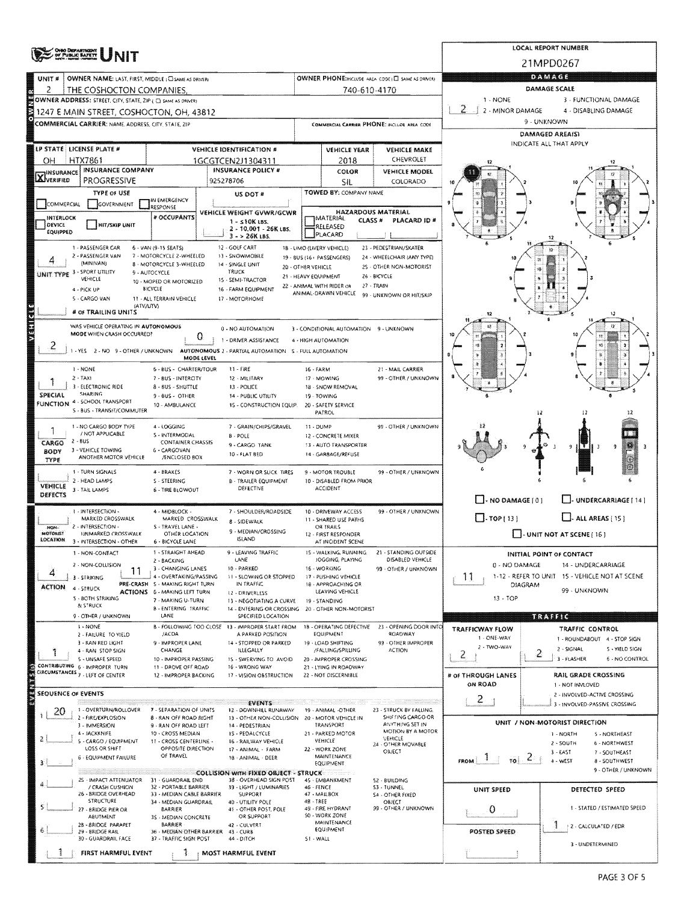|                                                                                   | ONGO DEPANTMENT<br>OF PUBLIC BAFETT                                                                      |                                                           | LOCAL REPORT NUMBER |                                                                                    |                                                           |                                                              |                                                       |                                          |                 |                                                                 |  |  |  |  |
|-----------------------------------------------------------------------------------|----------------------------------------------------------------------------------------------------------|-----------------------------------------------------------|---------------------|------------------------------------------------------------------------------------|-----------------------------------------------------------|--------------------------------------------------------------|-------------------------------------------------------|------------------------------------------|-----------------|-----------------------------------------------------------------|--|--|--|--|
|                                                                                   |                                                                                                          |                                                           |                     |                                                                                    |                                                           | 21MPD0267                                                    |                                                       |                                          |                 |                                                                 |  |  |  |  |
| UNIT <sup>8</sup>                                                                 | OWNER NAME: LAST, FIRST, MIDDLE; CISAME AS DRIVER!                                                       |                                                           |                     |                                                                                    | <b>OWNER PHONE:IHCLUDE AREA CODE   CI SAME AS DRIVERY</b> | <b>DAMAGE</b>                                                |                                                       |                                          |                 |                                                                 |  |  |  |  |
| 2                                                                                 | THE COSHOCTON COMPANIES.                                                                                 |                                                           |                     |                                                                                    | 740-610-4170                                              | DAMAGE SCALE                                                 |                                                       |                                          |                 |                                                                 |  |  |  |  |
|                                                                                   | OWNER ADDRESS: STREET, CITY, STATE, ZIP ( C) SAME AS ORIVER)<br>1247 E MAIN STREET, COSHOCTON, OH, 43812 |                                                           |                     | 1 - NONE<br>3 - FUNCTIONAL DAMAGE<br>2<br>2 - MINOR DAMAGE<br>4 - DISABLING DAMAGE |                                                           |                                                              |                                                       |                                          |                 |                                                                 |  |  |  |  |
|                                                                                   | <b>COMMERCIAL CARRIER: NAME, ADDRESS, CITY, STATE, ZIP</b>                                               |                                                           |                     |                                                                                    |                                                           |                                                              | COMMERCIAL CARRIER PHONE: INCLUDE AREA CODE           | 9 - UNKNOWN                              |                 |                                                                 |  |  |  |  |
|                                                                                   |                                                                                                          |                                                           |                     |                                                                                    |                                                           |                                                              |                                                       |                                          | DAMAGED AREA(S) |                                                                 |  |  |  |  |
|                                                                                   | LP STATE LICENSE PLATE #                                                                                 |                                                           |                     | VEHICLE IDENTIFICATION #                                                           |                                                           | <b>VEHICLE YEAR</b>                                          | <b>VEHICLE MAKE</b>                                   | INDICATE ALL THAT APPLY                  |                 |                                                                 |  |  |  |  |
| OН                                                                                | <b>HTX7861</b>                                                                                           |                                                           |                     | 1GCGTCEN2J1304311                                                                  |                                                           | 2018                                                         |                                                       |                                          |                 |                                                                 |  |  |  |  |
| <b>INSURANCE COMPANY</b><br><b>X</b> INSURANCE<br><b>PROGRESSIVE</b><br>925278706 |                                                                                                          |                                                           |                     | <b>INSURANCE POLICY #</b>                                                          |                                                           | COLOR<br>SIL                                                 | VEHICLE MODEL<br>COLORADO                             |                                          |                 |                                                                 |  |  |  |  |
|                                                                                   | <b>TYPE OF USE</b>                                                                                       |                                                           |                     | US DOT #                                                                           |                                                           | TOWED BY: COMPANY NAME                                       |                                                       |                                          |                 |                                                                 |  |  |  |  |
| COMMERCIAL                                                                        | GOVERNMENT                                                                                               | IN EMERGENCY<br>RESPONSE                                  |                     |                                                                                    |                                                           |                                                              |                                                       |                                          |                 |                                                                 |  |  |  |  |
| INTERLOCK<br>DEVICE                                                               |                                                                                                          | # OCCUPANTS                                               |                     | VEHICLE WEIGHT GVWR/GCWR<br>$1 - 510K$ LBS.                                        |                                                           | <b>HAZARDOUS MATERIAL</b><br>IMATERIAL<br>CLASS <sup>#</sup> | PLACARD ID #                                          |                                          |                 |                                                                 |  |  |  |  |
| EQUIPPED                                                                          | <b>HIT/SKIP UNIT</b>                                                                                     |                                                           |                     | 2 - 10.001 - 26K LBS.<br>$3 - 26K$ LBS.                                            |                                                           | <b>ERELEASED</b><br>PLACARD                                  |                                                       |                                          |                 |                                                                 |  |  |  |  |
|                                                                                   | 1 - PASSENGER CAR                                                                                        | 6 - VAN (9-15 SEATS)                                      |                     | 12 - GOLF CART                                                                     |                                                           | 18 - LIMO (LIVERY VEHICLE)                                   | 23 - PEDESTRIAN/SKATER                                |                                          |                 |                                                                 |  |  |  |  |
|                                                                                   | 2 - PASSENGER VAN<br>(MINIVAN)                                                                           | 7 - MOTORCYCLE 2-WHEELED<br>8 - MOTORCYCLE 3-WHEELED      |                     | 13 - SNOWMOBILE<br>14 - SINGLE UNIT                                                |                                                           | 19 - BUS (16+ PASSENGERS)                                    | 24 - WHEELCHAIR (ANY TYPE)<br>25 - OTHER NON-MOTORIST |                                          |                 |                                                                 |  |  |  |  |
|                                                                                   | UNIT TYPE 3 - SPORT UTILITY<br>VEHICLE                                                                   | 9 - AUTOCYCLE                                             |                     | <b>TRUCK</b><br>15 - SEMI-TRACTOR                                                  | 20 - OTHER VEHICLE<br>21 - HEAVY EQUIPMENT                |                                                              | 26 - BICYCLE                                          |                                          |                 |                                                                 |  |  |  |  |
|                                                                                   | 4 - PICK UP                                                                                              | 10 - MOPED OR MOTORIZED<br><b>BICYCLE</b>                 |                     | 16 - FARM EQUIPMENT                                                                |                                                           | 22 - ANIMAL WITH RIDER OR<br>ANIMAL-DRAWN VEHICLE            | 27 - TRAIN<br>99 - UNKNOWN OR HIT/SKIP                |                                          |                 |                                                                 |  |  |  |  |
|                                                                                   | 5 - CARGO VAN<br>(ATV/UTV)                                                                               | 11 - ALL TERRAIN VEHICLE                                  |                     | 17 - MOTORHOME                                                                     |                                                           |                                                              |                                                       |                                          |                 |                                                                 |  |  |  |  |
|                                                                                   | # OF TRAILING UNITS                                                                                      |                                                           |                     |                                                                                    |                                                           |                                                              |                                                       | 12                                       |                 | ١2                                                              |  |  |  |  |
|                                                                                   | WAS VEHICLE OPERATING IN AUTONOMOUS<br>MODE WHEN CRASH OCCURRED?                                         |                                                           | 0                   | 0 - NO AUTOMATION                                                                  |                                                           | 3 - CONDITIONAL AUTOMATION 9 - UNKNOWN                       |                                                       |                                          |                 |                                                                 |  |  |  |  |
| 2                                                                                 |                                                                                                          |                                                           |                     | 1 - DRIVER ASSISTANCE                                                              |                                                           | 4 - HIGH AUTOMATION                                          |                                                       |                                          |                 |                                                                 |  |  |  |  |
|                                                                                   | 1 - YES 2 - NO 9 - OTHER / UNKNOWN                                                                       |                                                           | MODE LEVEL          | AUTONOMOUS 2 - PARTIAL AUTOMATION 5 - FULL AUTOMATION                              |                                                           |                                                              |                                                       |                                          |                 |                                                                 |  |  |  |  |
|                                                                                   | 1 - NONE<br>$2 - TAX$                                                                                    | 6 - BUS - CHARTER/TOUR<br>7 - BUS - INTERCITY             |                     | 11 - FIRE<br>12 - MILITARY                                                         | 16 - FARM                                                 | 17 - MOWING                                                  | 21 - MAIL CARRIER<br>99 - OTHER / UNKNOWN             |                                          |                 |                                                                 |  |  |  |  |
|                                                                                   | 3 - ELECTRONIC RIDE                                                                                      | 8 - BUS - SHUTTLE                                         |                     | 13 - POLICE                                                                        |                                                           | 18 - SNOW REMOVAL                                            |                                                       |                                          |                 |                                                                 |  |  |  |  |
| SPECIAL                                                                           | <b>SHARING</b><br>FUNCTION 4 - SCHOOL TRANSPORT                                                          | 9-8US - OTHER<br>10 - AMBULANCE                           |                     | 14 - PUBLIC UTILITY<br><b>15 - CONSTRUCTION EQUIP.</b>                             |                                                           | 19 - TOWING<br>20 - SAFETY SERVICE                           |                                                       |                                          |                 |                                                                 |  |  |  |  |
|                                                                                   | S - BUS - TRANSIT/COMMUTER                                                                               |                                                           |                     |                                                                                    |                                                           | PATROL                                                       |                                                       |                                          | 12              | -12                                                             |  |  |  |  |
|                                                                                   | 1 - NO CARGO BODY TYPE                                                                                   | 4 - LOGGING                                               |                     | 7 - GRAIN/CHIPS/GRAVEL                                                             | 11 - DUMP                                                 |                                                              | 99 - OTHER / UNKNOWN                                  |                                          |                 |                                                                 |  |  |  |  |
| CARGO                                                                             | / NOT APPLICABLE<br>$2 - BUS$                                                                            | S - INTERMODAL<br><b>CONTAINER CHASSIS</b>                |                     | <b>B-POLE</b><br>9 - CARGO TANK                                                    |                                                           | 12 - CONCRETE MIXER<br>13 - AUTO TRANSPORTER                 |                                                       |                                          |                 | 9<br>9                                                          |  |  |  |  |
| <b>BODY</b><br>TYPE                                                               | 3 - VEHICLE TOWING<br>ANOTHER MOTOR VEHICLE                                                              | 6 - CARGOVAN<br>/ENCLOSED BOX                             |                     | 10 - FLAT BED                                                                      |                                                           | 14 - GARBAGE/REFUSE                                          |                                                       |                                          |                 |                                                                 |  |  |  |  |
|                                                                                   | 1 - TURN SIGNALS                                                                                         | 4 - BRAKES                                                |                     | 7 - WORN OR SLICK TIRES                                                            |                                                           | 9 - MOTOR TROUBLE                                            | 99 - OTHER / UNKNOWN                                  |                                          |                 |                                                                 |  |  |  |  |
| VEHICLE                                                                           | 2 - HEAD LAMPS<br>3 - TAIL LAMPS                                                                         | S - STEERING<br>6 - TIRE BLOWOUT                          |                     | <b>B - TRAILER EQUIPMENT</b><br>DEFECTIVE                                          |                                                           | 10 - DISABLED FROM PRIOR<br>ACCIDENT                         |                                                       |                                          |                 |                                                                 |  |  |  |  |
| DEFECTS                                                                           |                                                                                                          |                                                           |                     |                                                                                    |                                                           |                                                              |                                                       | $\Box$ - NO DAMAGE $[0]$                 |                 | U-UNDERCARRIAGE [ 14 ]                                          |  |  |  |  |
|                                                                                   | I - INTERSECTION -<br>MARKED CROSSWALK                                                                   | 4 - MIDBLOCK -<br>MARKED CROSSWALK                        |                     | 7 - SHOULDER/ROADSIDE                                                              |                                                           | 10 - DRIVEWAY ACCESS<br>11 - SHARED USE PATHS                | 99 - OTHER / UNKNOWN                                  | $\Box$ -TOP(13)                          |                 | $\Box$ - ALL AREAS [ 15 ]                                       |  |  |  |  |
| NON-                                                                              | 2 - INTERSECTION -                                                                                       | S - TRAVEL LANE -                                         |                     | 8 - SIDEWALK<br>9 - MEDIAN/CROSSING                                                |                                                           | OR TRAILS                                                    |                                                       |                                          |                 |                                                                 |  |  |  |  |
| MOTORIST<br><b>LOCATION</b>                                                       | UNMARKED CROSSWALK<br>3 - INTERSECTION - OTHER                                                           | OTHER LOCATION<br>6 - BICYCLE LANE                        |                     | ISLAND                                                                             |                                                           | 12 - FIRST RESPONDER<br>AT INCIDENT SCENE                    |                                                       |                                          |                 | $\left  \cdot \right $ UNIT NOT AT SCENE (16)                   |  |  |  |  |
|                                                                                   | 1 - NON-CONTACT                                                                                          | 1 - STRAIGHT AHEAD<br>2 - BACKING                         |                     | 9 - LEAVING TRAFFIC<br>LANE                                                        |                                                           | 15 - WALKING, RUNNING<br>JOGGING, PLAYING                    | 21 - STANDING OUTSIDE<br>DISABLED VEHICLE             |                                          |                 | <b>INITIAL POINT OF CONTACT</b>                                 |  |  |  |  |
| 4                                                                                 | 2 - NON-COLLISION<br>11                                                                                  | 3 - CHANGING LANES                                        |                     | 10 - PARKED                                                                        |                                                           | 16 - WORKING                                                 | 99 - OTHER / UNKNOWN                                  | 0 - NO DAMAGE                            |                 | 14 - UNDERCARRIAGE                                              |  |  |  |  |
| <b>ACTION</b>                                                                     | 3 - STRIKING<br>4 - STRUCK                                                                               | 4 - OVERTAKING/PASSING<br>PRE-CRASH S - MAKING RIGHT TURN |                     | 11 - SLOWING OR STOPPED<br>IN TRAFFIC                                              |                                                           | 17 - PUSHING VEHICLE<br>18 - APPROACHING OR                  |                                                       | 11                                       | <b>DIAGRAM</b>  | 1-12 - REFER TO UNIT 15 - VEHICLE NOT AT SCENE                  |  |  |  |  |
|                                                                                   | S - BOTH STRIKING                                                                                        | ACTIONS 6 - MAKING LEFT TURN<br>7 - MAKING U-TURN         |                     | 12 - DRIVERLESS<br>13 - NEGOTIATING A CURVE                                        |                                                           | LEAVING VEHICLE<br>19 - STANDING                             |                                                       | $13 - TOP$                               |                 | 99 - UNKNOWN                                                    |  |  |  |  |
|                                                                                   | & STRUCK<br>9 - OTHER / UNKNOWN                                                                          | <b>B-ENTERING TRAFFIC</b><br>LANE                         |                     | 14 - ENTERING OR CROSSING<br>SPECIFIED LOCATION                                    |                                                           | 20 - OTHER NON-MOTORIST                                      |                                                       |                                          | <u>MYATIKI</u>  |                                                                 |  |  |  |  |
|                                                                                   | 1 - NONE                                                                                                 |                                                           |                     | B - FOLLOWING TOO CLOSE 13 - IMPROPER START FROM                                   |                                                           | 18 - OPERATING DEFECTIVE                                     | 23 - OPENING DOOR INTO                                | <b>TRAFFICWAY FLOW</b>                   |                 | TRAFFIC CONTROL                                                 |  |  |  |  |
|                                                                                   | 2 - FAILURE TO VIELD<br>3 - RAN RED LIGHT                                                                | /ACDA<br>9 - IMPROPER LANE                                |                     | A PARKED POSITION<br>14 - STOPPED OR PARKED                                        |                                                           | EQUIPMENT<br>19 - LOAD SHIFTING                              | ROADWAY<br>99 - OTHER IMPROPER                        | 1 - ONE-WAY                              |                 | 1 - ROUNDABOUT 4 - STOP SIGN                                    |  |  |  |  |
|                                                                                   | 4 - RAN STOP SIGN<br>5 - UNSAFE SPEED                                                                    | CHANGE<br>10 - IMPROPER PASSING                           |                     | ILLEGALLY                                                                          |                                                           | /FALLING/SPILLING                                            | <b>ACTION</b>                                         | 2 - TWO-WAY<br>2.                        | 2               | 2 - SIGNAL<br>S - YIELD SIGN<br>$3 - FLASHER$<br>6 - NO CONTROL |  |  |  |  |
|                                                                                   | CONTRIBUTING 6 - IMPROPER TURN<br>CIRCUMSTANCES 7 - LEFT OF CENTER                                       | 11 - DROVE OFF ROAD                                       |                     | 15 - SWERVING TO AVOID<br>16 - WRONG WAY                                           |                                                           | 20 - IMPROPER CROSSING<br>21 - LYING IN ROADWAY              |                                                       |                                          |                 |                                                                 |  |  |  |  |
|                                                                                   |                                                                                                          | 12 - IMPROPER BACKING                                     |                     | 17 - VISION OBSTRUCTION                                                            |                                                           | 22 - NOT DISCERNIBLE                                         |                                                       | # OF THROUGH LANES<br>ON ROAD            |                 | RAIL GRADE CROSSING<br>1 - NOT INVLOVED                         |  |  |  |  |
|                                                                                   | <b>SEQUENCE OF EVENTS</b>                                                                                |                                                           |                     |                                                                                    |                                                           |                                                              |                                                       | $\mathbf{2}$                             |                 | 2 - INVOLVED-ACTIVE CROSSING                                    |  |  |  |  |
| 20.                                                                               | 1 - OVERTURN/ROLLOVER                                                                                    | <b>7 - SEPARATION OF UNITS</b>                            |                     | <b>EVENTS</b><br>12 - DOWNHILL RUNAWAY                                             |                                                           | 19 - ANIMAL -OTHER                                           | 23 - STRUCK BY FALLING,                               |                                          |                 | 3 - INVOLVED-PASSIVE CROSSING                                   |  |  |  |  |
|                                                                                   | 2 - FIRE/EXPLOSION<br>3 - IMMERSION                                                                      | 8 - RAN OFF ROAD RIGHT<br>9 - RAN OFF ROAD LEFT           |                     | 13 - OTHER NON-COLLISION<br>14 - PEDESTRIAN                                        |                                                           | 20 - MOTOR VEHICLE IN<br>TRANSPORT                           | SHIFTING CARGO OR<br>ANYTHING SET IN                  |                                          |                 | UNIT / NON-MOTORIST DIRECTION                                   |  |  |  |  |
| Z.                                                                                | 4 - JACKKNIFE<br>S - CARGO / EQUIPMENT                                                                   | 10 - CROSS MEDIAN<br>11 - CROSS CENTERLINE -              |                     | 15 - PEDALCYCLE<br>16 - RAILWAY VEHICLE                                            |                                                           | 21 - PARKED MOTOR<br><b>VEHICLE</b>                          | MOTION BY A MOTOR<br>VEHICLE                          |                                          |                 | 1 - NORTH<br><b>S-NORTHEAST</b><br>6 - NORTHWEST                |  |  |  |  |
|                                                                                   | LOSS OR SHIFT                                                                                            | OPPOSITE DIRECTION<br>OF TRAVEL                           |                     | 17 - ANIMAL - FARM                                                                 |                                                           | 22 - WORK ZONE<br>MAINTENANCE                                | 24 - OTHER MOVABLE<br>OBJECT                          |                                          |                 | $2 - SOUTH$<br>$3 - EAST$<br>7 - SOUTHEAST                      |  |  |  |  |
|                                                                                   | 6 - EQUIPMENT FAILURE                                                                                    |                                                           |                     | 18 - ANIMAL - DEER                                                                 |                                                           | EQUIPMENT:                                                   |                                                       | $\frac{1}{10}$ 2<br>$FROM$ $\frac{1}{2}$ |                 | 4 - WEST<br>8 - SOUTHWEST<br>9 - OTHER / UNKNOWN                |  |  |  |  |
|                                                                                   | 25 - IMPACT ATTENUATOR                                                                                   | 31 - GUARDRAIL END                                        |                     | <b>COLLISION WITH FIXED OBJECT - STRUCK</b><br>38 - OVERHEAD SIGN POST             |                                                           | 45 - EMBANKMENT                                              | 52 - BUILDING                                         |                                          |                 |                                                                 |  |  |  |  |
|                                                                                   | / CRASH CUSHION<br>26 - SRIDGE OVERHEAD                                                                  | 32 - PORTABLE BARRIER<br>33 - MEDIAN CABLE BARRIER        |                     | 39 - LIGHT / LUMINARIES<br>SUPPORT                                                 | 46 - FENCE                                                | 47 - MAILBOX                                                 | S3 - TUNNEL<br>S4 - OTHER FIXED                       | UNIT SPEED                               |                 | DETECTED SPEED                                                  |  |  |  |  |
|                                                                                   | STRUCTURE<br>27 - BRIDGE PIER OR                                                                         | 34 - MEDIAN GUARDRAIL<br>BARRIER                          |                     | 40 - UTILITY POLE<br>41 - OTHER POST, POLE                                         | 48 - TREE                                                 | 49 - FIRE HYDRANT                                            | OBJECT<br>99 - OTHER / UNKNOWN                        | 0                                        |                 | 1 - STATED / ESTIMATED SPEED                                    |  |  |  |  |
|                                                                                   | <b>ABUTMENT</b><br>28 - BRIDGE PARAPET                                                                   | 3S - MEDIAN CONCRETE<br><b>BARRIER</b>                    |                     | OR SUPPORT<br>42 - CULVERT                                                         |                                                           | 50 - WORK ZONE<br>MAINTENANCE                                |                                                       |                                          | J               | 2 - CALCULATED / EDR                                            |  |  |  |  |
|                                                                                   | 29 - BRIDGE RAIL<br>30 - GUARDRAIL FACE                                                                  | 36 - MEDIAN OTHER BARRIER<br>37 - TRAFFIC SIGN POST       |                     | 43 - CURB<br>44 - DITCH                                                            | S1 - WALL                                                 | EQUIPMENT                                                    |                                                       | POSTED SPEED                             |                 |                                                                 |  |  |  |  |
|                                                                                   | FIRST HARMFUL EVENT                                                                                      |                                                           |                     | MOST HARMFUL EVENT                                                                 |                                                           |                                                              |                                                       |                                          |                 | 3 - UNDETERMINED                                                |  |  |  |  |
|                                                                                   |                                                                                                          |                                                           |                     |                                                                                    |                                                           |                                                              |                                                       |                                          |                 |                                                                 |  |  |  |  |